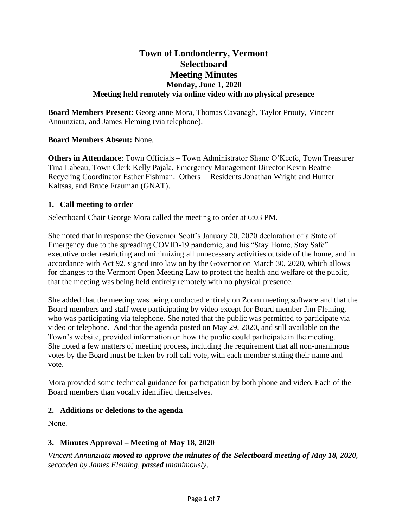# **Town of Londonderry, Vermont Selectboard Meeting Minutes Monday, June 1, 2020 Meeting held remotely via online video with no physical presence**

**Board Members Present**: Georgianne Mora, Thomas Cavanagh, Taylor Prouty, Vincent Annunziata, and James Fleming (via telephone).

## **Board Members Absent:** None.

**Others in Attendance**: Town Officials – Town Administrator Shane O'Keefe, Town Treasurer Tina Labeau, Town Clerk Kelly Pajala, Emergency Management Director Kevin Beattie Recycling Coordinator Esther Fishman. Others – Residents Jonathan Wright and Hunter Kaltsas, and Bruce Frauman (GNAT).

## **1. Call meeting to order**

Selectboard Chair George Mora called the meeting to order at 6:03 PM.

She noted that in response the Governor Scott's January 20, 2020 declaration of a State of Emergency due to the spreading COVID-19 pandemic, and his "Stay Home, Stay Safe" executive order restricting and minimizing all unnecessary activities outside of the home, and in accordance with Act 92, signed into law on by the Governor on March 30, 2020, which allows for changes to the Vermont Open Meeting Law to protect the health and welfare of the public, that the meeting was being held entirely remotely with no physical presence.

She added that the meeting was being conducted entirely on Zoom meeting software and that the Board members and staff were participating by video except for Board member Jim Fleming, who was participating via telephone. She noted that the public was permitted to participate via video or telephone. And that the agenda posted on May 29, 2020, and still available on the Town's website, provided information on how the public could participate in the meeting. She noted a few matters of meeting process, including the requirement that all non-unanimous votes by the Board must be taken by roll call vote, with each member stating their name and vote.

Mora provided some technical guidance for participation by both phone and video. Each of the Board members than vocally identified themselves.

#### **2. Additions or deletions to the agenda**

None.

## **3. Minutes Approval – Meeting of May 18, 2020**

*Vincent Annunziata moved to approve the minutes of the Selectboard meeting of May 18, 2020, seconded by James Fleming, passed unanimously.*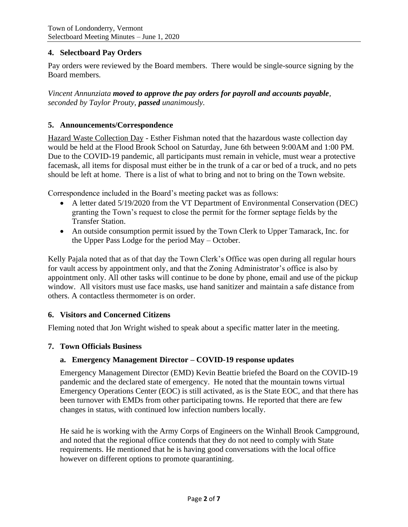## **4. Selectboard Pay Orders**

Pay orders were reviewed by the Board members. There would be single-source signing by the Board members.

*Vincent Annunziata moved to approve the pay orders for payroll and accounts payable, seconded by Taylor Prouty, passed unanimously.*

## **5. Announcements/Correspondence**

Hazard Waste Collection Day - Esther Fishman noted that the hazardous waste collection day would be held at the Flood Brook School on Saturday, June 6th between 9:00AM and 1:00 PM. Due to the COVID-19 pandemic, all participants must remain in vehicle, must wear a protective facemask, all items for disposal must either be in the trunk of a car or bed of a truck, and no pets should be left at home. There is a list of what to bring and not to bring on the Town website.

Correspondence included in the Board's meeting packet was as follows:

- A letter dated 5/19/2020 from the VT Department of Environmental Conservation (DEC) granting the Town's request to close the permit for the former septage fields by the Transfer Station.
- An outside consumption permit issued by the Town Clerk to Upper Tamarack, Inc. for the Upper Pass Lodge for the period May – October.

Kelly Pajala noted that as of that day the Town Clerk's Office was open during all regular hours for vault access by appointment only, and that the Zoning Administrator's office is also by appointment only. All other tasks will continue to be done by phone, email and use of the pickup window. All visitors must use face masks, use hand sanitizer and maintain a safe distance from others. A contactless thermometer is on order.

#### **6. Visitors and Concerned Citizens**

Fleming noted that Jon Wright wished to speak about a specific matter later in the meeting.

#### **7. Town Officials Business**

#### **a. Emergency Management Director – COVID-19 response updates**

Emergency Management Director (EMD) Kevin Beattie briefed the Board on the COVID-19 pandemic and the declared state of emergency. He noted that the mountain towns virtual Emergency Operations Center (EOC) is still activated, as is the State EOC, and that there has been turnover with EMDs from other participating towns. He reported that there are few changes in status, with continued low infection numbers locally.

He said he is working with the Army Corps of Engineers on the Winhall Brook Campground, and noted that the regional office contends that they do not need to comply with State requirements. He mentioned that he is having good conversations with the local office however on different options to promote quarantining.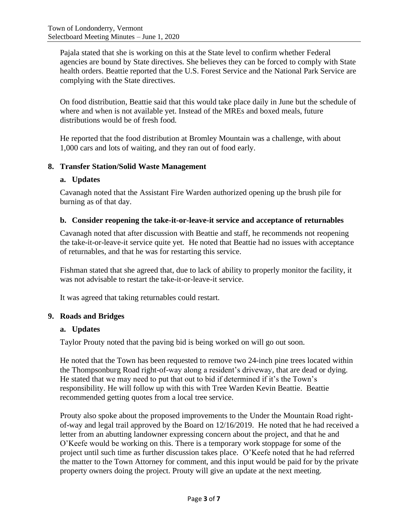Pajala stated that she is working on this at the State level to confirm whether Federal agencies are bound by State directives. She believes they can be forced to comply with State health orders. Beattie reported that the U.S. Forest Service and the National Park Service are complying with the State directives.

On food distribution, Beattie said that this would take place daily in June but the schedule of where and when is not available yet. Instead of the MREs and boxed meals, future distributions would be of fresh food.

He reported that the food distribution at Bromley Mountain was a challenge, with about 1,000 cars and lots of waiting, and they ran out of food early.

## **8. Transfer Station/Solid Waste Management**

#### **a. Updates**

Cavanagh noted that the Assistant Fire Warden authorized opening up the brush pile for burning as of that day.

## **b. Consider reopening the take-it-or-leave-it service and acceptance of returnables**

Cavanagh noted that after discussion with Beattie and staff, he recommends not reopening the take-it-or-leave-it service quite yet. He noted that Beattie had no issues with acceptance of returnables, and that he was for restarting this service.

Fishman stated that she agreed that, due to lack of ability to properly monitor the facility, it was not advisable to restart the take-it-or-leave-it service.

It was agreed that taking returnables could restart.

#### **9. Roads and Bridges**

## **a. Updates**

Taylor Prouty noted that the paving bid is being worked on will go out soon.

He noted that the Town has been requested to remove two 24-inch pine trees located within the Thompsonburg Road right-of-way along a resident's driveway, that are dead or dying. He stated that we may need to put that out to bid if determined if it's the Town's responsibility. He will follow up with this with Tree Warden Kevin Beattie. Beattie recommended getting quotes from a local tree service.

Prouty also spoke about the proposed improvements to the Under the Mountain Road rightof-way and legal trail approved by the Board on 12/16/2019. He noted that he had received a letter from an abutting landowner expressing concern about the project, and that he and O'Keefe would be working on this. There is a temporary work stoppage for some of the project until such time as further discussion takes place. O'Keefe noted that he had referred the matter to the Town Attorney for comment, and this input would be paid for by the private property owners doing the project. Prouty will give an update at the next meeting.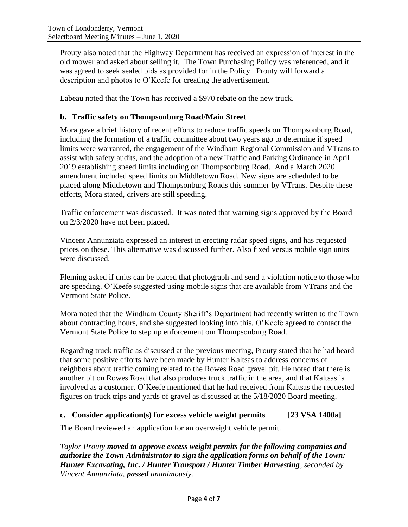Prouty also noted that the Highway Department has received an expression of interest in the old mower and asked about selling it. The Town Purchasing Policy was referenced, and it was agreed to seek sealed bids as provided for in the Policy. Prouty will forward a description and photos to O'Keefe for creating the advertisement.

Labeau noted that the Town has received a \$970 rebate on the new truck.

## **b. Traffic safety on Thompsonburg Road/Main Street**

Mora gave a brief history of recent efforts to reduce traffic speeds on Thompsonburg Road, including the formation of a traffic committee about two years ago to determine if speed limits were warranted, the engagement of the Windham Regional Commission and VTrans to assist with safety audits, and the adoption of a new Traffic and Parking Ordinance in April 2019 establishing speed limits including on Thompsonburg Road. And a March 2020 amendment included speed limits on Middletown Road. New signs are scheduled to be placed along Middletown and Thompsonburg Roads this summer by VTrans. Despite these efforts, Mora stated, drivers are still speeding.

Traffic enforcement was discussed. It was noted that warning signs approved by the Board on 2/3/2020 have not been placed.

Vincent Annunziata expressed an interest in erecting radar speed signs, and has requested prices on these. This alternative was discussed further. Also fixed versus mobile sign units were discussed.

Fleming asked if units can be placed that photograph and send a violation notice to those who are speeding. O'Keefe suggested using mobile signs that are available from VTrans and the Vermont State Police.

Mora noted that the Windham County Sheriff's Department had recently written to the Town about contracting hours, and she suggested looking into this. O'Keefe agreed to contact the Vermont State Police to step up enforcement om Thompsonburg Road.

Regarding truck traffic as discussed at the previous meeting, Prouty stated that he had heard that some positive efforts have been made by Hunter Kaltsas to address concerns of neighbors about traffic coming related to the Rowes Road gravel pit. He noted that there is another pit on Rowes Road that also produces truck traffic in the area, and that Kaltsas is involved as a customer. O'Keefe mentioned that he had received from Kaltsas the requested figures on truck trips and yards of gravel as discussed at the 5/18/2020 Board meeting.

## **c. Consider application(s) for excess vehicle weight permits [23 VSA 1400a]**

The Board reviewed an application for an overweight vehicle permit.

*Taylor Prouty moved to approve excess weight permits for the following companies and authorize the Town Administrator to sign the application forms on behalf of the Town: Hunter Excavating, Inc. / Hunter Transport / Hunter Timber Harvesting, seconded by Vincent Annunziata, passed unanimously.*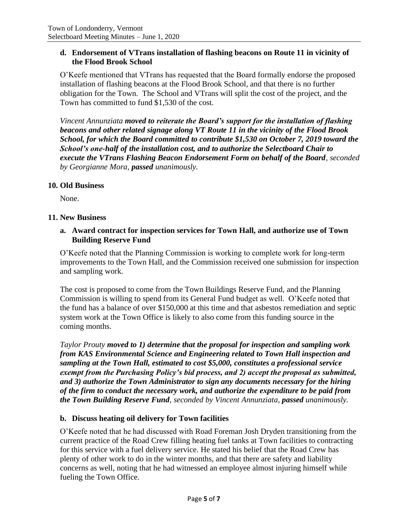## **d. Endorsement of VTrans installation of flashing beacons on Route 11 in vicinity of the Flood Brook School**

O'Keefe mentioned that VTrans has requested that the Board formally endorse the proposed installation of flashing beacons at the Flood Brook School, and that there is no further obligation for the Town. The School and VTrans will split the cost of the project, and the Town has committed to fund \$1,530 of the cost.

*Vincent Annunziata moved to reiterate the Board's support for the installation of flashing beacons and other related signage along VT Route 11 in the vicinity of the Flood Brook School, for which the Board committed to contribute \$1,530 on October 7, 2019 toward the School's one-half of the installation cost, and to authorize the Selectboard Chair to execute the VTrans Flashing Beacon Endorsement Form on behalf of the Board, seconded by Georgianne Mora, passed unanimously.*

## **10. Old Business**

None.

## **11. New Business**

## **a. Award contract for inspection services for Town Hall, and authorize use of Town Building Reserve Fund**

O'Keefe noted that the Planning Commission is working to complete work for long-term improvements to the Town Hall, and the Commission received one submission for inspection and sampling work.

The cost is proposed to come from the Town Buildings Reserve Fund, and the Planning Commission is willing to spend from its General Fund budget as well. O'Keefe noted that the fund has a balance of over \$150,000 at this time and that asbestos remediation and septic system work at the Town Office is likely to also come from this funding source in the coming months.

*Taylor Prouty moved to 1) determine that the proposal for inspection and sampling work from KAS Environmental Science and Engineering related to Town Hall inspection and sampling at the Town Hall, estimated to cost \$5,000, constitutes a professional service exempt from the Purchasing Policy's bid process, and 2) accept the proposal as submitted, and 3) authorize the Town Administrator to sign any documents necessary for the hiring of the firm to conduct the necessary work, and authorize the expenditure to be paid from the Town Building Reserve Fund, seconded by Vincent Annunziata, passed unanimously.*

## **b. Discuss heating oil delivery for Town facilities**

O'Keefe noted that he had discussed with Road Foreman Josh Dryden transitioning from the current practice of the Road Crew filling heating fuel tanks at Town facilities to contracting for this service with a fuel delivery service. He stated his belief that the Road Crew has plenty of other work to do in the winter months, and that there are safety and liability concerns as well, noting that he had witnessed an employee almost injuring himself while fueling the Town Office.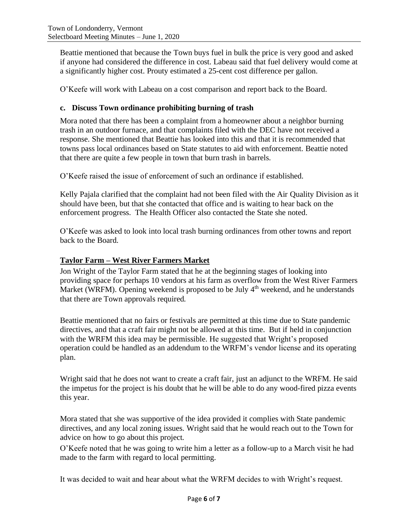Beattie mentioned that because the Town buys fuel in bulk the price is very good and asked if anyone had considered the difference in cost. Labeau said that fuel delivery would come at a significantly higher cost. Prouty estimated a 25-cent cost difference per gallon.

O'Keefe will work with Labeau on a cost comparison and report back to the Board.

## **c. Discuss Town ordinance prohibiting burning of trash**

Mora noted that there has been a complaint from a homeowner about a neighbor burning trash in an outdoor furnace, and that complaints filed with the DEC have not received a response. She mentioned that Beattie has looked into this and that it is recommended that towns pass local ordinances based on State statutes to aid with enforcement. Beattie noted that there are quite a few people in town that burn trash in barrels.

O'Keefe raised the issue of enforcement of such an ordinance if established.

Kelly Pajala clarified that the complaint had not been filed with the Air Quality Division as it should have been, but that she contacted that office and is waiting to hear back on the enforcement progress. The Health Officer also contacted the State she noted.

O'Keefe was asked to look into local trash burning ordinances from other towns and report back to the Board.

# **Taylor Farm – West River Farmers Market**

Jon Wright of the Taylor Farm stated that he at the beginning stages of looking into providing space for perhaps 10 vendors at his farm as overflow from the West River Farmers Market (WRFM). Opening weekend is proposed to be July  $4<sup>th</sup>$  weekend, and he understands that there are Town approvals required.

Beattie mentioned that no fairs or festivals are permitted at this time due to State pandemic directives, and that a craft fair might not be allowed at this time. But if held in conjunction with the WRFM this idea may be permissible. He suggested that Wright's proposed operation could be handled as an addendum to the WRFM's vendor license and its operating plan.

Wright said that he does not want to create a craft fair, just an adjunct to the WRFM. He said the impetus for the project is his doubt that he will be able to do any wood-fired pizza events this year.

Mora stated that she was supportive of the idea provided it complies with State pandemic directives, and any local zoning issues. Wright said that he would reach out to the Town for advice on how to go about this project.

O'Keefe noted that he was going to write him a letter as a follow-up to a March visit he had made to the farm with regard to local permitting.

It was decided to wait and hear about what the WRFM decides to with Wright's request.